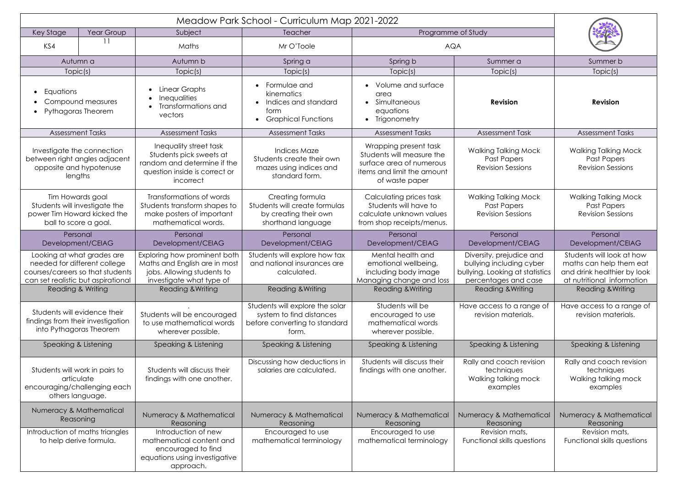| Year Group<br>Key Stage                                                                                                                                              |  | Subject                                                                                                                                                 | Teacher                                                                                               | Programme of Study                                                                                                             |                                                                                                                                                 |                                                                                                                                                   |  |
|----------------------------------------------------------------------------------------------------------------------------------------------------------------------|--|---------------------------------------------------------------------------------------------------------------------------------------------------------|-------------------------------------------------------------------------------------------------------|--------------------------------------------------------------------------------------------------------------------------------|-------------------------------------------------------------------------------------------------------------------------------------------------|---------------------------------------------------------------------------------------------------------------------------------------------------|--|
| KS4                                                                                                                                                                  |  | Maths                                                                                                                                                   | Mr O'Toole                                                                                            | <b>AQA</b>                                                                                                                     |                                                                                                                                                 |                                                                                                                                                   |  |
| Autumn a                                                                                                                                                             |  | Autumn b                                                                                                                                                | Spring a                                                                                              | Spring b                                                                                                                       | Summer a                                                                                                                                        | Summer b                                                                                                                                          |  |
| Topic(s)                                                                                                                                                             |  | Topic(s)                                                                                                                                                | Topic(s)                                                                                              | Topic(s)                                                                                                                       | Topic(s)                                                                                                                                        | Topic(s)                                                                                                                                          |  |
| Equations<br>Compound measures<br>Pythagoras Theorem                                                                                                                 |  | Linear Graphs<br><b>Inequalities</b><br>Transformations and<br>vectors                                                                                  | Formulae and<br>kinematics<br>Indices and standard<br>form<br><b>Graphical Functions</b>              | Volume and surface<br>area<br>Simultaneous<br>equations<br>• Trigonometry                                                      | <b>Revision</b>                                                                                                                                 | <b>Revision</b>                                                                                                                                   |  |
| <b>Assessment Tasks</b>                                                                                                                                              |  | <b>Assessment Tasks</b>                                                                                                                                 | <b>Assessment Tasks</b>                                                                               | <b>Assessment Tasks</b>                                                                                                        | <b>Assessment Task</b>                                                                                                                          | <b>Assessment Tasks</b>                                                                                                                           |  |
| Investigate the connection<br>between right angles adjacent<br>opposite and hypotenuse<br>lengths                                                                    |  | Inequality street task<br>Students pick sweets at<br>random and determine if the<br>question inside is correct or<br>incorrect                          | <b>Indices Maze</b><br>Students create their own<br>mazes using indices and<br>standard form.         | Wrapping present task<br>Students will measure the<br>surface area of numerous<br>items and limit the amount<br>of waste paper | <b>Walking Talking Mock</b><br>Past Papers<br><b>Revision Sessions</b>                                                                          | <b>Walking Talking Mock</b><br>Past Papers<br><b>Revision Sessions</b>                                                                            |  |
| Tim Howards goal<br>Students will investigate the<br>power Tim Howard kicked the<br>ball to score a goal.                                                            |  | Transformations of words<br>Students transform shapes to<br>make posters of important<br>mathematical words.                                            | Creating formula<br>Students will create formulas<br>by creating their own<br>shorthand language      | Calculating prices task<br>Students will have to<br>calculate unknown values<br>from shop receipts/menus.                      | <b>Walking Talking Mock</b><br><b>Past Papers</b><br><b>Revision Sessions</b>                                                                   | <b>Walking Talking Mock</b><br><b>Past Papers</b><br><b>Revision Sessions</b>                                                                     |  |
| Personal<br>Development/CEIAG                                                                                                                                        |  | Personal<br>Development/CEIAG                                                                                                                           | Personal<br>Development/CEIAG                                                                         | Personal<br>Development/CEIAG                                                                                                  | Personal<br>Development/CEIAG                                                                                                                   | Personal<br>Development/CEIAG                                                                                                                     |  |
| Looking at what grades are<br>needed for different college<br>courses/careers so that students<br>can set realistic but aspirational<br><b>Reading &amp; Writing</b> |  | Exploring how prominent both<br>Maths and English are in most<br>jobs. Allowing students to<br>investigate what type of<br><b>Reading &amp; Writing</b> | Students will explore how tax<br>and national insurances are<br>calculated.<br>Reading & Writing      | Mental health and<br>emotional wellbeing,<br>including body image<br>Managing change and loss<br><b>Reading &amp; Writing</b>  | Diversity, prejudice and<br>bullying including cyber<br>bullying. Looking at statistics<br>percentages and case<br><b>Reading &amp; Writing</b> | Students will look at how<br>maths can help them eat<br>and drink healthier by look<br>at nutritional information<br><b>Reading &amp; Writing</b> |  |
| Students will evidence their<br>findings from their investigation<br>into Pythagoras Theorem                                                                         |  | Students will be encouraged<br>to use mathematical words<br>wherever possible.                                                                          | Students will explore the solar<br>system to find distances<br>before converting to standard<br>form. | Students will be<br>encouraged to use<br>mathematical words<br>wherever possible.                                              | Have access to a range of<br>revision materials.                                                                                                | Have access to a range of<br>revision materials.                                                                                                  |  |
| Speaking & Listening                                                                                                                                                 |  | Speaking & Listening                                                                                                                                    | Speaking & Listening                                                                                  | Speaking & Listening                                                                                                           | Speaking & Listening                                                                                                                            | Speaking & Listening                                                                                                                              |  |
| Students will work in pairs to<br>articulate<br>encouraging/challenging each<br>others language.                                                                     |  | Students will discuss their<br>findings with one another.                                                                                               | Discussing how deductions in<br>salaries are calculated.                                              | Students will discuss their<br>findings with one another.                                                                      | Rally and coach revision<br>techniques<br>Walking talking mock<br>examples                                                                      | Rally and coach revision<br>techniques<br>Walking talking mock<br>examples                                                                        |  |
| Numeracy & Mathematical<br>Reasoning                                                                                                                                 |  | Numeracy & Mathematical<br>Reasoning                                                                                                                    | Numeracy & Mathematical<br>Reasoning                                                                  | Numeracy & Mathematical<br>Reasoning                                                                                           | Numeracy & Mathematical<br>Reasoning                                                                                                            | Numeracy & Mathematical<br>Reasoning                                                                                                              |  |
| Introduction of maths triangles<br>to help derive formula.                                                                                                           |  | Introduction of new<br>mathematical content and<br>encouraged to find<br>equations using investigative<br>approach.                                     | Encouraged to use<br>mathematical terminology                                                         | Encouraged to use<br>mathematical terminology                                                                                  | Revision mats,<br>Functional skills questions                                                                                                   | Revision mats,<br>Functional skills questions                                                                                                     |  |